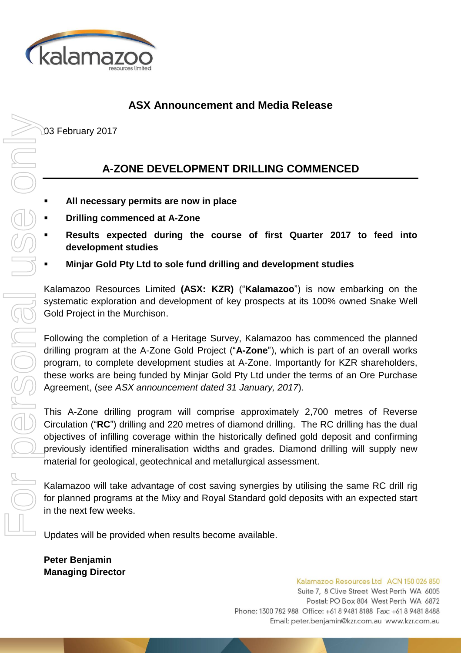

## **ASX Announcement and Media Release**

03 February 2017

## **A-ZONE DEVELOPMENT DRILLING COMMENCED**

- **All necessary permits are now in place**
- **Drilling commenced at A-Zone**
- **Results expected during the course of first Quarter 2017 to feed into development studies**
- **Minjar Gold Pty Ltd to sole fund drilling and development studies**

Kalamazoo Resources Limited **(ASX: KZR)** ("**Kalamazoo**") is now embarking on the systematic exploration and development of key prospects at its 100% owned Snake Well Gold Project in the Murchison.

Following the completion of a Heritage Survey, Kalamazoo has commenced the planned drilling program at the A-Zone Gold Project ("**A-Zone**"), which is part of an overall works program, to complete development studies at A-Zone. Importantly for KZR shareholders, these works are being funded by Minjar Gold Pty Ltd under the terms of an Ore Purchase Agreement, (*see ASX announcement dated 31 January, 2017*).

This A-Zone drilling program will comprise approximately 2,700 metres of Reverse Circulation ("**RC**") drilling and 220 metres of diamond drilling. The RC drilling has the dual objectives of infilling coverage within the historically defined gold deposit and confirming previously identified mineralisation widths and grades. Diamond drilling will supply new material for geological, geotechnical and metallurgical assessment.

Kalamazoo will take advantage of cost saving synergies by utilising the same RC drill rig for planned programs at the Mixy and Royal Standard gold deposits with an expected start in the next few weeks.

Updates will be provided when results become available.

**Peter Benjamin**

Kalamazoo Resources Ltd ACN 150 026 850 Suite 7, 8 Clive Street West Perth WA 6005 Postal: PO Box 804 West Perth WA 6872 Phone: 1300 782 988 Office: +61 8 9481 8188 Fax: +61 8 9481 8488 Email: peter.benjamin@kzr.com.au www.kzr.com.au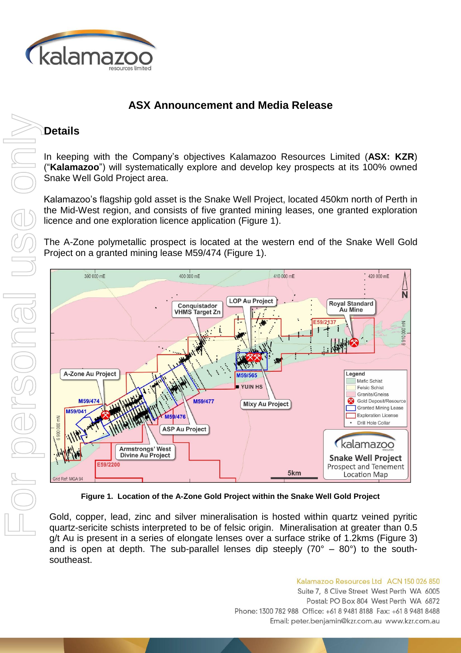

# **ASX Announcement and Media Release**

## **Details**

In keeping with the Company's objectives Kalamazoo Resources Limited (**ASX: KZR**) ("**Kalamazoo**") will systematically explore and develop key prospects at its 100% owned Snake Well Gold Project area.

Kalamazoo's flagship gold asset is the Snake Well Project, located 450km north of Perth in the Mid-West region, and consists of five granted mining leases, one granted exploration licence and one exploration licence application (Figure 1).

The A-Zone polymetallic prospect is located at the western end of the Snake Well Gold Project on a granted mining lease M59/474 (Figure 1).



**Figure 1. Location of the A-Zone Gold Project within the Snake Well Gold Project**

Gold, copper, lead, zinc and silver mineralisation is hosted within quartz veined pyritic quartz-sericite schists interpreted to be of felsic origin. Mineralisation at greater than 0.5 g/t Au is present in a series of elongate lenses over a surface strike of 1.2kms (Figure 3) and is open at depth. The sub-parallel lenses dip steeply  $(70^{\circ} - 80^{\circ})$  to the southsoutheast.

> Kalamazoo Resources Ltd ACN 150 026 850 Suite 7, 8 Clive Street West Perth WA 6005 Postal: PO Box 804 West Perth WA 6872 Phone: 1300 782 988 Office: +61 8 9481 8188 Fax: +61 8 9481 8488 Email: peter.benjamin@kzr.com.au www.kzr.com.au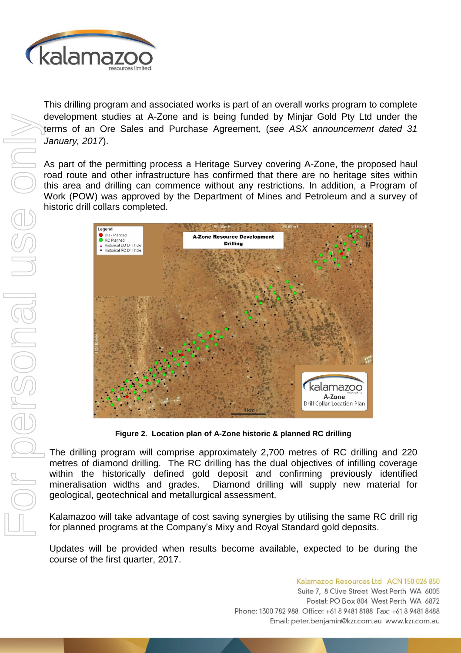

This drilling program and associated works is part of an overall works program to complete development studies at A-Zone and is being funded by Minjar Gold Pty Ltd under the terms of an Ore Sales and Purchase Agreement, (*see ASX announcement dated 31 January, 2017*).

As part of the permitting process a Heritage Survey covering A-Zone, the proposed haul road route and other infrastructure has confirmed that there are no heritage sites within this area and drilling can commence without any restrictions. In addition, a Program of Work (POW) was approved by the Department of Mines and Petroleum and a survey of historic drill collars completed.



**Figure 2. Location plan of A-Zone historic & planned RC drilling**

The drilling program will comprise approximately 2,700 metres of RC drilling and 220 metres of diamond drilling. The RC drilling has the dual objectives of infilling coverage within the historically defined gold deposit and confirming previously identified mineralisation widths and grades. Diamond drilling will supply new material for geological, geotechnical and metallurgical assessment.

Kalamazoo will take advantage of cost saving synergies by utilising the same RC drill rig for planned programs at the Company's Mixy and Royal Standard gold deposits.

Updates will be provided when results become available, expected to be during the course of the first quarter, 2017.

> Kalamazoo Resources Ltd ACN 150 026 850 Suite 7, 8 Clive Street West Perth WA 6005 Postal: PO Box 804 West Perth WA 6872 Phone: 1300 782 988 Office: +61 8 9481 8188 Fax: +61 8 9481 8488 Email: peter.benjamin@kzr.com.au www.kzr.com.au